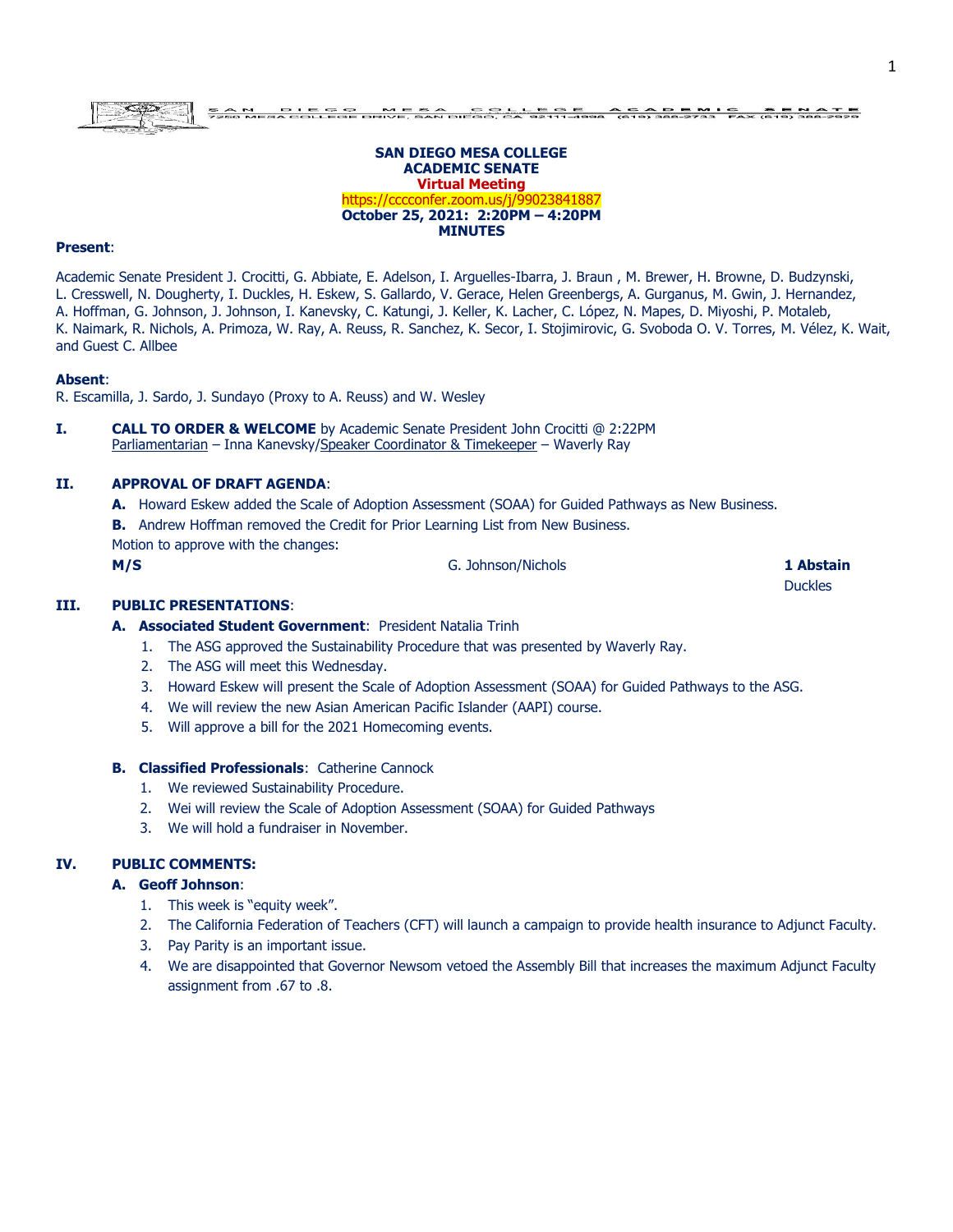#### **SAN DIEGO MESA COLLEGE ACADEMIC SENATE Virtual Meeting** https://cccconfer.zoom.us/j/99023841887 **October 25, 2021: 2:20PM – 4:20PM MINUTES**

#### **Present**:

Academic Senate President J. Crocitti, G. Abbiate, E. Adelson, I. Arguelles-Ibarra, J. Braun , M. Brewer, H. Browne, D. Budzynski, L. Cresswell, N. Dougherty, I. Duckles, H. Eskew, S. Gallardo, V. Gerace, Helen Greenbergs, A. Gurganus, M. Gwin, J. Hernandez, A. Hoffman, G. Johnson, J. Johnson, I. Kanevsky, C. Katungi, J. Keller, K. Lacher, C. López, N. Mapes, D. Miyoshi, P. Motaleb, K. Naimark, R. Nichols, A. Primoza, W. Ray, A. Reuss, R. Sanchez, K. Secor, I. Stojimirovic, G. Svoboda O. V. Torres, M. Vélez, K. Wait, and Guest C. Allbee

#### **Absent**:

R. Escamilla, J. Sardo, J. Sundayo (Proxy to A. Reuss) and W. Wesley

**I. CALL TO ORDER & WELCOME** by Academic Senate President John Crocitti @ 2:22PM Parliamentarian – Inna Kanevsky/Speaker Coordinator & Timekeeper – Waverly Ray

#### **II. APPROVAL OF DRAFT AGENDA**:

- **A.** Howard Eskew added the Scale of Adoption Assessment (SOAA) for Guided Pathways as New Business.
- **B.** Andrew Hoffman removed the Credit for Prior Learning List from New Business.

Motion to approve with the changes:

**M/S** G. Johnson/Nichols **1 Abstain**

Duckles

#### **III. PUBLIC PRESENTATIONS**:

### **A. Associated Student Government**: President Natalia Trinh

- 1. The ASG approved the Sustainability Procedure that was presented by Waverly Ray.
- 2. The ASG will meet this Wednesday.
- 3. Howard Eskew will present the Scale of Adoption Assessment (SOAA) for Guided Pathways to the ASG.
- 4. We will review the new Asian American Pacific Islander (AAPI) course.
- 5. Will approve a bill for the 2021 Homecoming events.

#### **B. Classified Professionals**: Catherine Cannock

- 1. We reviewed Sustainability Procedure.
- 2. Wei will review the Scale of Adoption Assessment (SOAA) for Guided Pathways
- 3. We will hold a fundraiser in November.

## **IV. PUBLIC COMMENTS:**

#### **A. Geoff Johnson**:

- 1. This week is "equity week".
- 2. The California Federation of Teachers (CFT) will launch a campaign to provide health insurance to Adjunct Faculty.
- 3. Pay Parity is an important issue.
- 4. We are disappointed that Governor Newsom vetoed the Assembly Bill that increases the maximum Adjunct Faculty assignment from .67 to .8.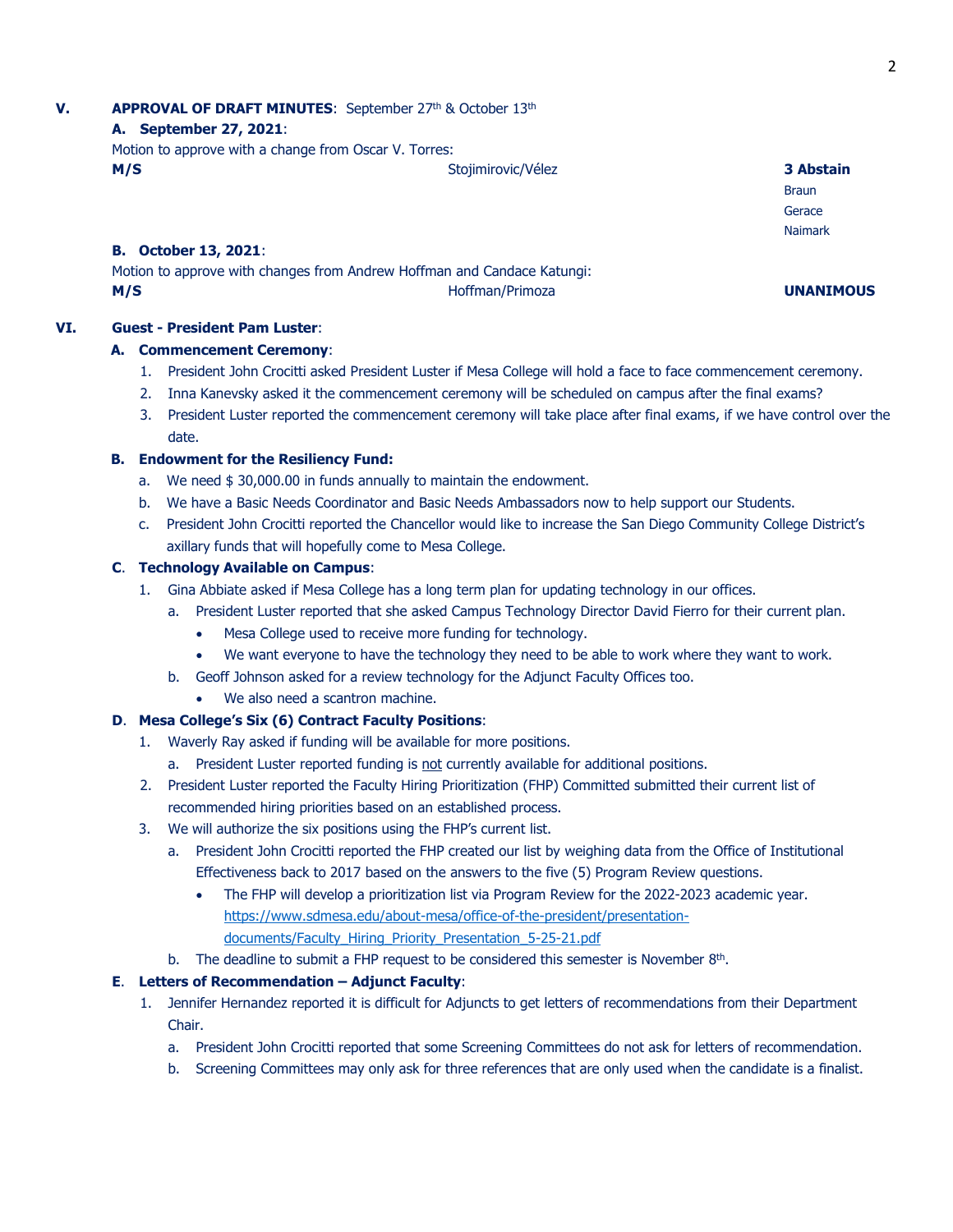# **V. APPROVAL OF DRAFT MINUTES**: September 27<sup>th</sup> & October 13<sup>th</sup>

## **A. September 27, 2021**:

Motion to approve with a change from Oscar V. Torres: **M/S** Stojimirovic/Vélez **3 Abstain**

## **B. October 13, 2021**:

Motion to approve with changes from Andrew Hoffman and Candace Katungi: **M/S Hoffman/Primoza UNANIMOUS** 

## **VI. Guest - President Pam Luster**:

## **A. Commencement Ceremony**:

- 1. President John Crocitti asked President Luster if Mesa College will hold a face to face commencement ceremony.
- 2. Inna Kanevsky asked it the commencement ceremony will be scheduled on campus after the final exams?
- 3. President Luster reported the commencement ceremony will take place after final exams, if we have control over the date.

## **B. Endowment for the Resiliency Fund:**

- a. We need \$30,000.00 in funds annually to maintain the endowment.
- b. We have a Basic Needs Coordinator and Basic Needs Ambassadors now to help support our Students.
- c. President John Crocitti reported the Chancellor would like to increase the San Diego Community College District's axillary funds that will hopefully come to Mesa College.

## **C**. **Technology Available on Campus**:

- 1. Gina Abbiate asked if Mesa College has a long term plan for updating technology in our offices.
	- a. President Luster reported that she asked Campus Technology Director David Fierro for their current plan.
		- Mesa College used to receive more funding for technology.
		- We want everyone to have the technology they need to be able to work where they want to work.
	- b. Geoff Johnson asked for a review technology for the Adjunct Faculty Offices too.
		- We also need a scantron machine.

## **D**. **Mesa College's Six (6) Contract Faculty Positions**:

- 1. Waverly Ray asked if funding will be available for more positions.
	- a. President Luster reported funding is not currently available for additional positions.
- 2. President Luster reported the Faculty Hiring Prioritization (FHP) Committed submitted their current list of recommended hiring priorities based on an established process.
- 3. We will authorize the six positions using the FHP's current list.
	- a. President John Crocitti reported the FHP created our list by weighing data from the Office of Institutional Effectiveness back to 2017 based on the answers to the five (5) Program Review questions.
		- The FHP will develop a prioritization list via Program Review for the 2022-2023 academic year. [https://www.sdmesa.edu/about-mesa/office-of-the-president/presentation](https://www.sdmesa.edu/about-mesa/office-of-the-president/presentation-documents/Faculty_Hiring_Priority_Presentation_5-25-21.pdf)[documents/Faculty\\_Hiring\\_Priority\\_Presentation\\_5-25-21.pdf](https://www.sdmesa.edu/about-mesa/office-of-the-president/presentation-documents/Faculty_Hiring_Priority_Presentation_5-25-21.pdf)
	- b. The deadline to submit a FHP request to be considered this semester is November  $8<sup>th</sup>$ .

## **E.** Letters of Recommendation – Adjunct Faculty:

- 1. Jennifer Hernandez reported it is difficult for Adjuncts to get letters of recommendations from their Department Chair.
	- a. President John Crocitti reported that some Screening Committees do not ask for letters of recommendation.
	- b. Screening Committees may only ask for three references that are only used when the candidate is a finalist.

**Braun** Gerace Naimark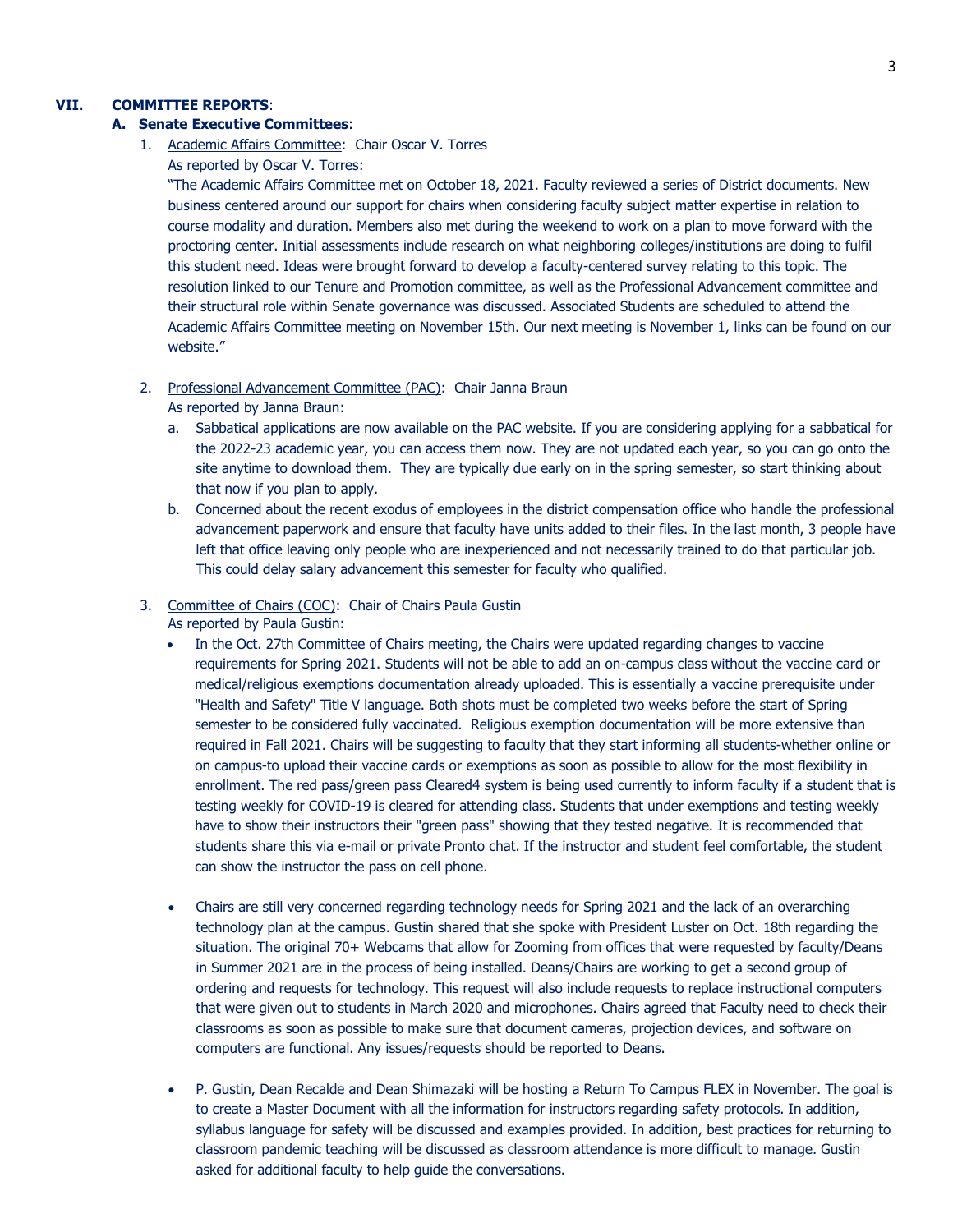## **VII. COMMITTEE REPORTS**:

#### **A. Senate Executive Committees**:

1. Academic Affairs Committee: Chair Oscar V. Torres As reported by Oscar V. Torres:

"The Academic Affairs Committee met on October 18, 2021. Faculty reviewed a series of District documents. New business centered around our support for chairs when considering faculty subject matter expertise in relation to course modality and duration. Members also met during the weekend to work on a plan to move forward with the proctoring center. Initial assessments include research on what neighboring colleges/institutions are doing to fulfil this student need. Ideas were brought forward to develop a faculty-centered survey relating to this topic. The resolution linked to our Tenure and Promotion committee, as well as the Professional Advancement committee and their structural role within Senate governance was discussed. Associated Students are scheduled to attend the Academic Affairs Committee meeting on November 15th. Our next meeting is November 1, links can be found on our website."

- 2. Professional Advancement Committee (PAC): Chair Janna Braun
	- As reported by Janna Braun:
	- a. Sabbatical applications are now available on the PAC website. If you are considering applying for a sabbatical for the 2022-23 academic year, you can access them now. They are not updated each year, so you can go onto the site anytime to download them. They are typically due early on in the spring semester, so start thinking about that now if you plan to apply.
	- b. Concerned about the recent exodus of employees in the district compensation office who handle the professional advancement paperwork and ensure that faculty have units added to their files. In the last month, 3 people have left that office leaving only people who are inexperienced and not necessarily trained to do that particular job. This could delay salary advancement this semester for faculty who qualified.

#### 3. Committee of Chairs (COC): Chair of Chairs Paula Gustin

As reported by Paula Gustin:

- In the Oct. 27th Committee of Chairs meeting, the Chairs were updated regarding changes to vaccine requirements for Spring 2021. Students will not be able to add an on-campus class without the vaccine card or medical/religious exemptions documentation already uploaded. This is essentially a vaccine prerequisite under "Health and Safety" Title V language. Both shots must be completed two weeks before the start of Spring semester to be considered fully vaccinated. Religious exemption documentation will be more extensive than required in Fall 2021. Chairs will be suggesting to faculty that they start informing all students-whether online or on campus-to upload their vaccine cards or exemptions as soon as possible to allow for the most flexibility in enrollment. The red pass/green pass Cleared4 system is being used currently to inform faculty if a student that is testing weekly for COVID-19 is cleared for attending class. Students that under exemptions and testing weekly have to show their instructors their "green pass" showing that they tested negative. It is recommended that students share this via e-mail or private Pronto chat. If the instructor and student feel comfortable, the student can show the instructor the pass on cell phone.
- Chairs are still very concerned regarding technology needs for Spring 2021 and the lack of an overarching technology plan at the campus. Gustin shared that she spoke with President Luster on Oct. 18th regarding the situation. The original 70+ Webcams that allow for Zooming from offices that were requested by faculty/Deans in Summer 2021 are in the process of being installed. Deans/Chairs are working to get a second group of ordering and requests for technology. This request will also include requests to replace instructional computers that were given out to students in March 2020 and microphones. Chairs agreed that Faculty need to check their classrooms as soon as possible to make sure that document cameras, projection devices, and software on computers are functional. Any issues/requests should be reported to Deans.
- P. Gustin, Dean Recalde and Dean Shimazaki will be hosting a Return To Campus FLEX in November. The goal is to create a Master Document with all the information for instructors regarding safety protocols. In addition, syllabus language for safety will be discussed and examples provided. In addition, best practices for returning to classroom pandemic teaching will be discussed as classroom attendance is more difficult to manage. Gustin asked for additional faculty to help guide the conversations.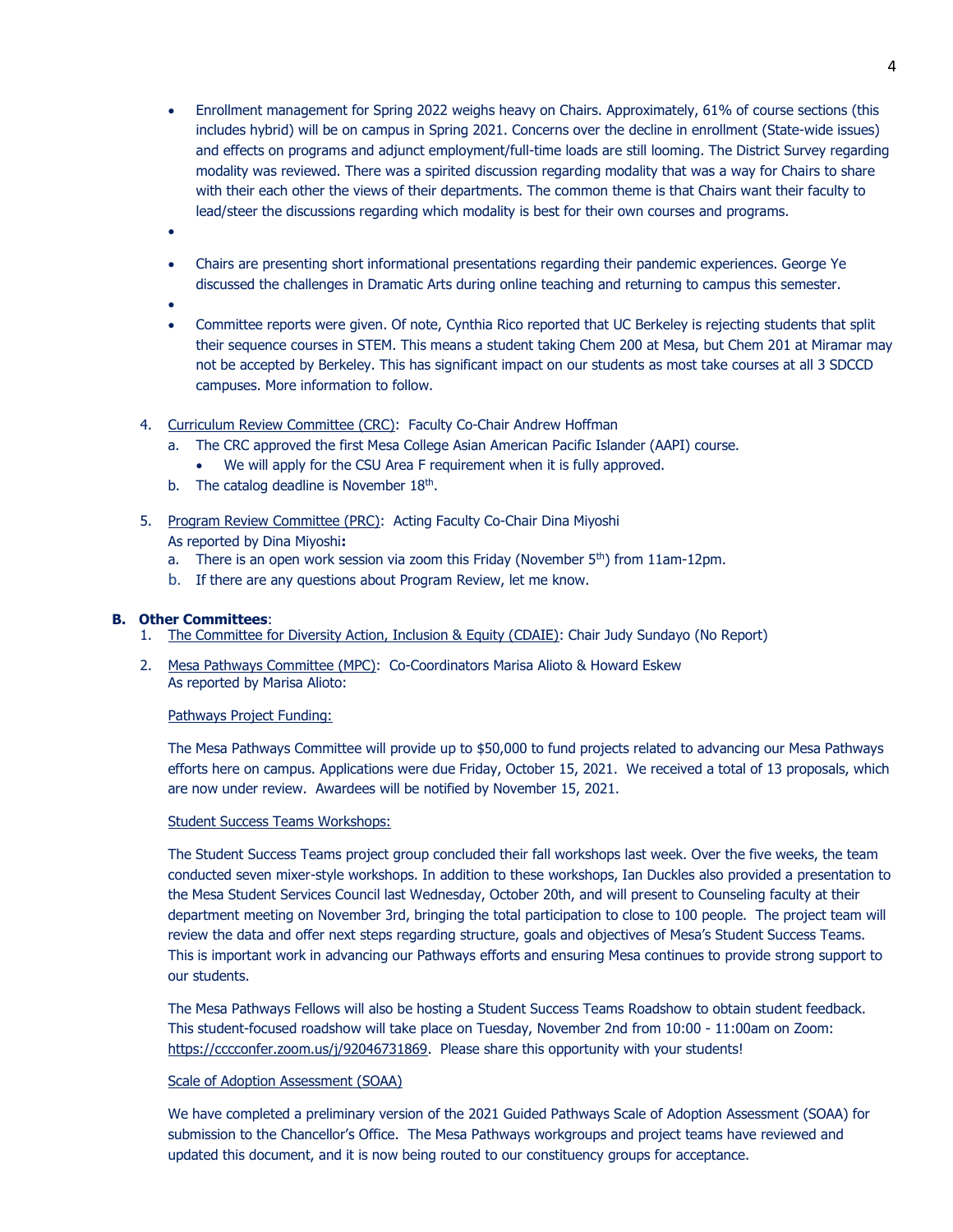- Enrollment management for Spring 2022 weighs heavy on Chairs. Approximately, 61% of course sections (this includes hybrid) will be on campus in Spring 2021. Concerns over the decline in enrollment (State-wide issues) and effects on programs and adjunct employment/full-time loads are still looming. The District Survey regarding modality was reviewed. There was a spirited discussion regarding modality that was a way for Chairs to share with their each other the views of their departments. The common theme is that Chairs want their faculty to lead/steer the discussions regarding which modality is best for their own courses and programs.
- $\bullet$
- Chairs are presenting short informational presentations regarding their pandemic experiences. George Ye discussed the challenges in Dramatic Arts during online teaching and returning to campus this semester.
- $\bullet$
- Committee reports were given. Of note, Cynthia Rico reported that UC Berkeley is rejecting students that split their sequence courses in STEM. This means a student taking Chem 200 at Mesa, but Chem 201 at Miramar may not be accepted by Berkeley. This has significant impact on our students as most take courses at all 3 SDCCD campuses. More information to follow.
- 4. Curriculum Review Committee (CRC): Faculty Co-Chair Andrew Hoffman
	- a. The CRC approved the first Mesa College Asian American Pacific Islander (AAPI) course.
		- We will apply for the CSU Area F requirement when it is fully approved.
	- b. The catalog deadline is November  $18<sup>th</sup>$ .
- 5. Program Review Committee (PRC): Acting Faculty Co-Chair Dina Miyoshi As reported by Dina Miyoshi**:**
	- a. There is an open work session via zoom this Friday (November  $5<sup>th</sup>$ ) from 11am-12pm.
	- b. If there are any questions about Program Review, let me know.

#### **B. Other Committees**:

- 1. The Committee for Diversity Action, Inclusion & Equity (CDAIE): Chair Judy Sundayo (No Report)
- 2. Mesa Pathways Committee (MPC): Co-Coordinators Marisa Alioto & Howard Eskew As reported by Marisa Alioto:

#### Pathways Project Funding:

The Mesa Pathways Committee will provide up to \$50,000 to fund projects related to advancing our Mesa Pathways efforts here on campus. Applications were due Friday, October 15, 2021. We received a total of 13 proposals, which are now under review. Awardees will be notified by November 15, 2021.

#### Student Success Teams Workshops:

The Student Success Teams project group concluded their fall workshops last week. Over the five weeks, the team conducted seven mixer-style workshops. In addition to these workshops, Ian Duckles also provided a presentation to the Mesa Student Services Council last Wednesday, October 20th, and will present to Counseling faculty at their department meeting on November 3rd, bringing the total participation to close to 100 people. The project team will review the data and offer next steps regarding structure, goals and objectives of Mesa's Student Success Teams. This is important work in advancing our Pathways efforts and ensuring Mesa continues to provide strong support to our students.

The Mesa Pathways Fellows will also be hosting a Student Success Teams Roadshow to obtain student feedback. This student-focused roadshow will take place on Tuesday, November 2nd from 10:00 - 11:00am on Zoom: [https://cccconfer.zoom.us/j/92046731869.](https://cccconfer.zoom.us/j/92046731869) Please share this opportunity with your students!

## Scale of Adoption Assessment (SOAA)

We have completed a preliminary version of the 2021 Guided Pathways Scale of Adoption Assessment (SOAA) for submission to the Chancellor's Office. The Mesa Pathways workgroups and project teams have reviewed and updated this document, and it is now being routed to our constituency groups for acceptance.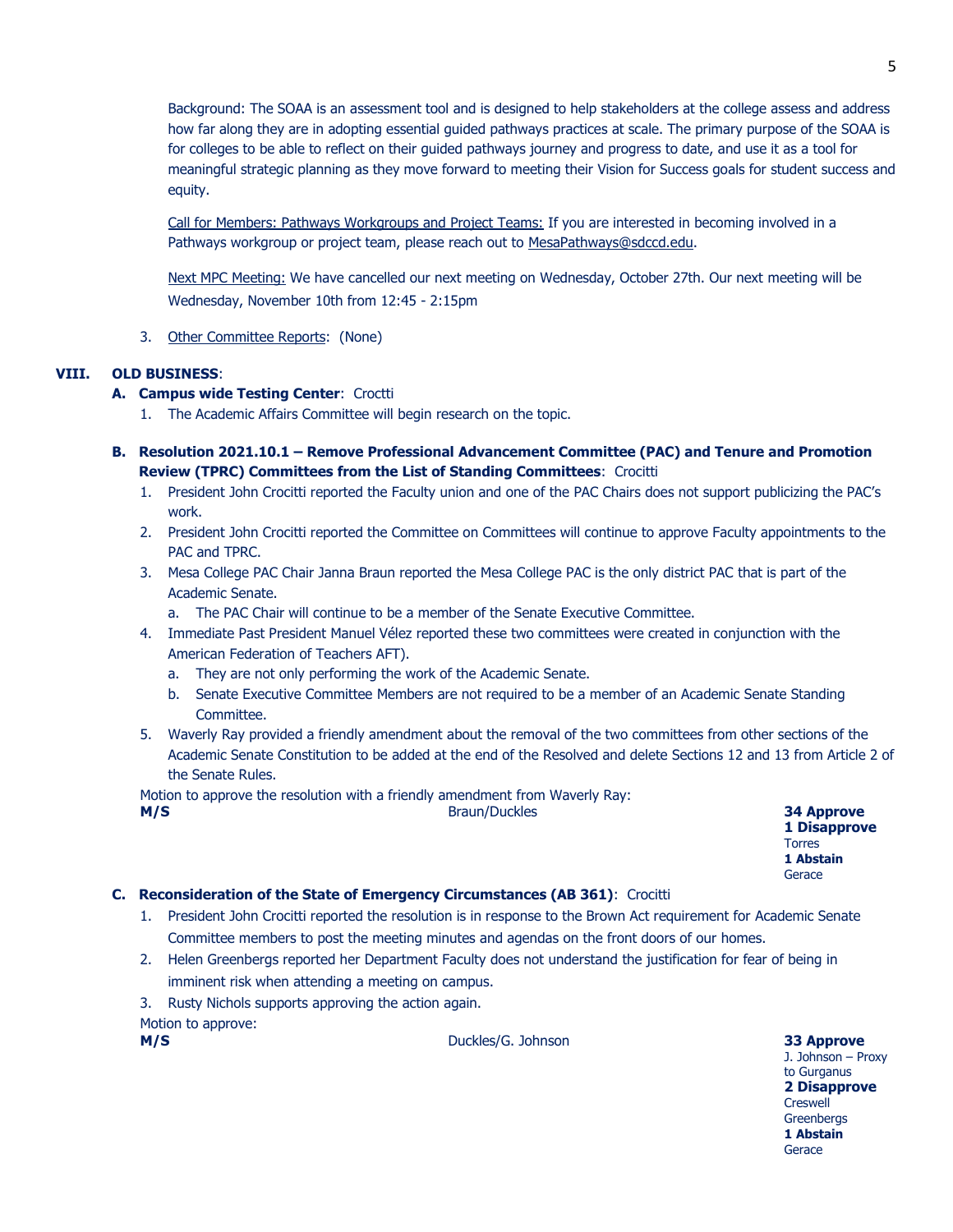Background: The SOAA is an assessment tool and is designed to help stakeholders at the college assess and address how far along they are in adopting essential guided pathways practices at scale. The primary purpose of the SOAA is for colleges to be able to reflect on their guided pathways journey and progress to date, and use it as a tool for meaningful strategic planning as they move forward to meeting their Vision for Success goals for student success and equity.

Call for Members: Pathways Workgroups and Project Teams: If you are interested in becoming involved in a Pathways workgroup or project team, please reach out to [MesaPathways@sdccd.edu.](mailto:MesaPathways@sdccd.edu)

Next MPC Meeting: We have cancelled our next meeting on Wednesday, October 27th. Our next meeting will be Wednesday, November 10th from 12:45 - 2:15pm

### 3. Other Committee Reports: (None)

#### **VIII. OLD BUSINESS**:

#### **A. Campus wide Testing Center**: Croctti

- 1. The Academic Affairs Committee will begin research on the topic.
- **B. Resolution 2021.10.1 – Remove Professional Advancement Committee (PAC) and Tenure and Promotion Review (TPRC) Committees from the List of Standing Committees**: Crocitti
	- 1. President John Crocitti reported the Faculty union and one of the PAC Chairs does not support publicizing the PAC's work.
	- 2. President John Crocitti reported the Committee on Committees will continue to approve Faculty appointments to the PAC and TPRC.
	- 3. Mesa College PAC Chair Janna Braun reported the Mesa College PAC is the only district PAC that is part of the Academic Senate.

a. The PAC Chair will continue to be a member of the Senate Executive Committee.

- 4. Immediate Past President Manuel Vélez reported these two committees were created in conjunction with the American Federation of Teachers AFT).
	- a. They are not only performing the work of the Academic Senate.
	- b. Senate Executive Committee Members are not required to be a member of an Academic Senate Standing Committee.
- 5. Waverly Ray provided a friendly amendment about the removal of the two committees from other sections of the Academic Senate Constitution to be added at the end of the Resolved and delete Sections 12 and 13 from Article 2 of the Senate Rules.

Motion to approve the resolution with a friendly amendment from Waverly Ray:

**M/S** Braun/Duckles **34 Approve**

**1 Disapprove** Torres **1 Abstain Gerace** 

### **C. Reconsideration of the State of Emergency Circumstances (AB 361)**: Crocitti

- 1. President John Crocitti reported the resolution is in response to the Brown Act requirement for Academic Senate Committee members to post the meeting minutes and agendas on the front doors of our homes.
- 2. Helen Greenbergs reported her Department Faculty does not understand the justification for fear of being in imminent risk when attending a meeting on campus.
- 3. Rusty Nichols supports approving the action again.

Motion to approve:

**M/S** Duckles/G. Johnson **33 Approve**

J. Johnson – Proxy to Gurganus **2 Disapprove** Creswell **Greenbergs 1 Abstain Gerace**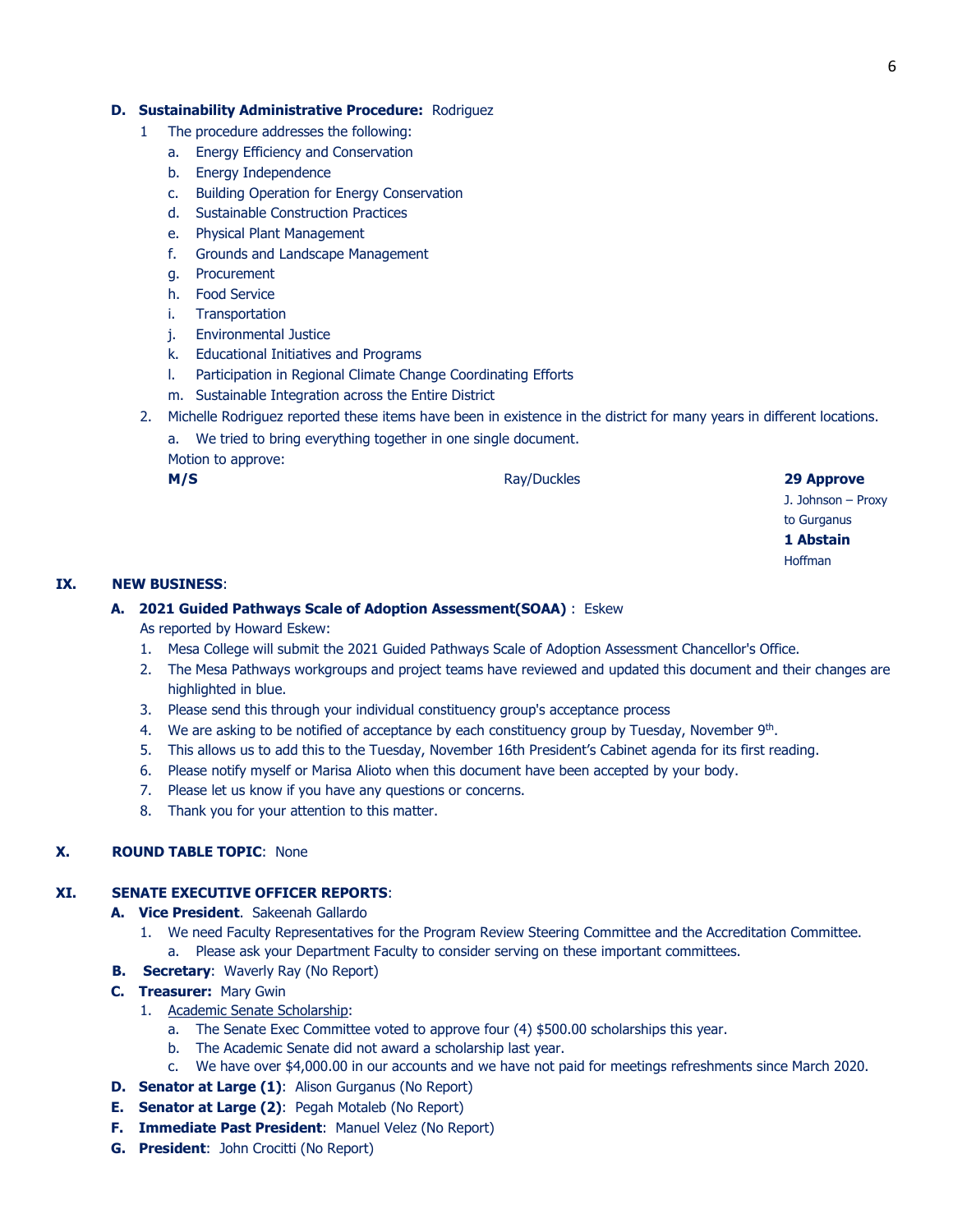#### **D. Sustainability Administrative Procedure:** Rodriguez

- 1 The procedure addresses the following:
	- a. Energy Efficiency and Conservation
	- b. Energy Independence
	- c. Building Operation for Energy Conservation
	- d. Sustainable Construction Practices
	- e. Physical Plant Management
	- f. Grounds and Landscape Management
	- g. Procurement
	- h. Food Service
	- i. Transportation
	- j. Environmental Justice
	- k. Educational Initiatives and Programs
	- l. Participation in Regional Climate Change Coordinating Efforts
	- m. Sustainable Integration across the Entire District
- 2. Michelle Rodriguez reported these items have been in existence in the district for many years in different locations.
	- a. We tried to bring everything together in one single document.
	- Motion to approve:

**M/S** Ray/Duckles **29 Approve** 

J. Johnson – Proxy to Gurganus **1 Abstain** Hoffman

#### **IX. NEW BUSINESS**:

#### **A. 2021 Guided Pathways Scale of Adoption Assessment(SOAA)** : Eskew As reported by Howard Eskew:

- 1. Mesa College will submit the 2021 Guided Pathways Scale of Adoption Assessment Chancellor's Office.
- 2. The Mesa Pathways workgroups and project teams have reviewed and updated this document and their changes are highlighted in blue.
- 3. Please send this through your individual constituency group's acceptance process
- 4. We are asking to be notified of acceptance by each constituency group by Tuesday, November  $9<sup>th</sup>$ .
- 5. This allows us to add this to the Tuesday, November 16th President's Cabinet agenda for its first reading.
- 6. Please notify myself or Marisa Alioto when this document have been accepted by your body.
- 7. Please let us know if you have any questions or concerns.
- 8. Thank you for your attention to this matter.

## **X. ROUND TABLE TOPIC**: None

#### **XI. SENATE EXECUTIVE OFFICER REPORTS**:

- **A. Vice President**. Sakeenah Gallardo
	- 1. We need Faculty Representatives for the Program Review Steering Committee and the Accreditation Committee. a. Please ask your Department Faculty to consider serving on these important committees.
- **B. Secretary**: Waverly Ray (No Report)
- **C. Treasurer:** Mary Gwin
	- 1. Academic Senate Scholarship:
		- a. The Senate Exec Committee voted to approve four (4) \$500.00 scholarships this year.
		- b. The Academic Senate did not award a scholarship last year.
		- c. We have over \$4,000.00 in our accounts and we have not paid for meetings refreshments since March 2020.
- **D. Senator at Large (1)**: Alison Gurganus (No Report)
- **E. Senator at Large (2)**: Pegah Motaleb (No Report)
- **F. Immediate Past President**: Manuel Velez (No Report)
- **G. President**: John Crocitti (No Report)